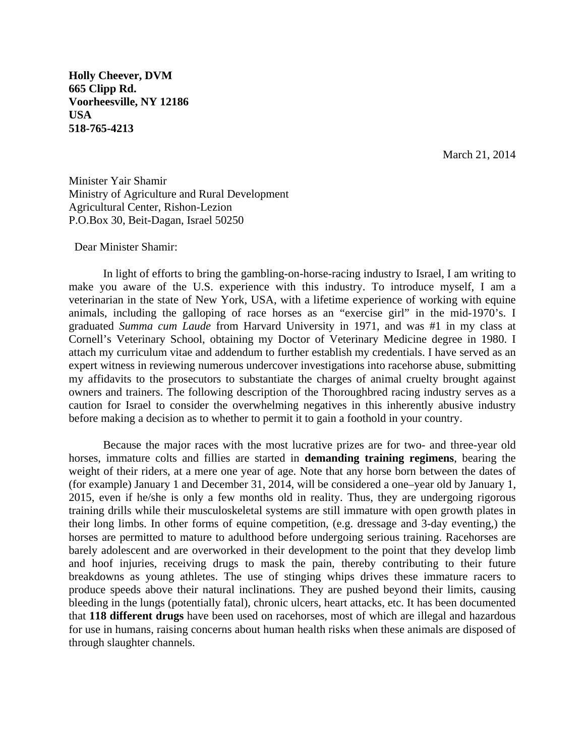**Holly Cheever, DVM 665 Clipp Rd. Voorheesville, NY 12186 USA 518-765-4213** 

March 21, 2014

Minister Yair Shamir Ministry of Agriculture and Rural Development Agricultural Center, Rishon-Lezion P.O.Box 30, Beit-Dagan, Israel 50250

## Dear Minister Shamir:

In light of efforts to bring the gambling-on-horse-racing industry to Israel, I am writing to make you aware of the U.S. experience with this industry. To introduce myself, I am a veterinarian in the state of New York, USA, with a lifetime experience of working with equine animals, including the galloping of race horses as an "exercise girl" in the mid-1970's. I graduated *Summa cum Laude* from Harvard University in 1971, and was #1 in my class at Cornell's Veterinary School, obtaining my Doctor of Veterinary Medicine degree in 1980. I attach my curriculum vitae and addendum to further establish my credentials. I have served as an expert witness in reviewing numerous undercover investigations into racehorse abuse, submitting my affidavits to the prosecutors to substantiate the charges of animal cruelty brought against owners and trainers. The following description of the Thoroughbred racing industry serves as a caution for Israel to consider the overwhelming negatives in this inherently abusive industry before making a decision as to whether to permit it to gain a foothold in your country.

Because the major races with the most lucrative prizes are for two- and three-year old horses, immature colts and fillies are started in **demanding training regimens**, bearing the weight of their riders, at a mere one year of age. Note that any horse born between the dates of (for example) January 1 and December 31, 2014, will be considered a one–year old by January 1, 2015, even if he/she is only a few months old in reality. Thus, they are undergoing rigorous training drills while their musculoskeletal systems are still immature with open growth plates in their long limbs. In other forms of equine competition, (e.g. dressage and 3-day eventing,) the horses are permitted to mature to adulthood before undergoing serious training. Racehorses are barely adolescent and are overworked in their development to the point that they develop limb and hoof injuries, receiving drugs to mask the pain, thereby contributing to their future breakdowns as young athletes. The use of stinging whips drives these immature racers to produce speeds above their natural inclinations. They are pushed beyond their limits, causing bleeding in the lungs (potentially fatal), chronic ulcers, heart attacks, etc. It has been documented that **118 different drugs** have been used on racehorses, most of which are illegal and hazardous for use in humans, raising concerns about human health risks when these animals are disposed of through slaughter channels.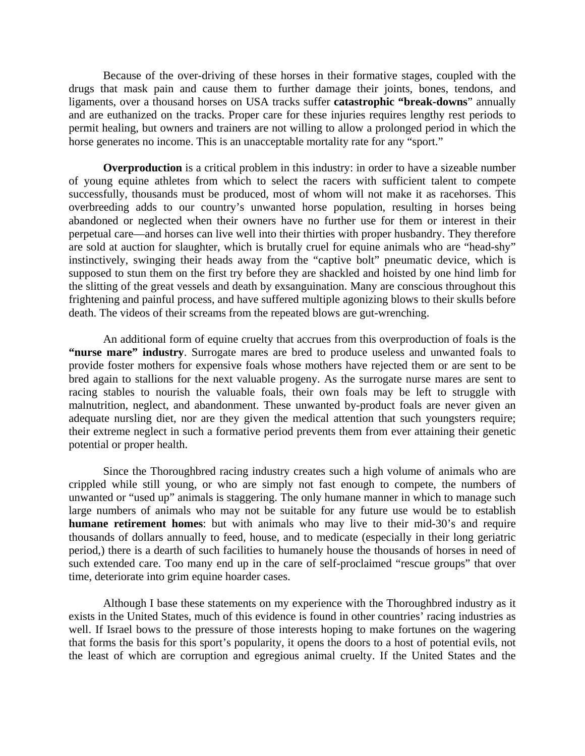Because of the over-driving of these horses in their formative stages, coupled with the drugs that mask pain and cause them to further damage their joints, bones, tendons, and ligaments, over a thousand horses on USA tracks suffer **catastrophic "break-downs**" annually and are euthanized on the tracks. Proper care for these injuries requires lengthy rest periods to permit healing, but owners and trainers are not willing to allow a prolonged period in which the horse generates no income. This is an unacceptable mortality rate for any "sport."

**Overproduction** is a critical problem in this industry: in order to have a sizeable number of young equine athletes from which to select the racers with sufficient talent to compete successfully, thousands must be produced, most of whom will not make it as racehorses. This overbreeding adds to our country's unwanted horse population, resulting in horses being abandoned or neglected when their owners have no further use for them or interest in their perpetual care—and horses can live well into their thirties with proper husbandry. They therefore are sold at auction for slaughter, which is brutally cruel for equine animals who are "head-shy" instinctively, swinging their heads away from the "captive bolt" pneumatic device, which is supposed to stun them on the first try before they are shackled and hoisted by one hind limb for the slitting of the great vessels and death by exsanguination. Many are conscious throughout this frightening and painful process, and have suffered multiple agonizing blows to their skulls before death. The videos of their screams from the repeated blows are gut-wrenching.

An additional form of equine cruelty that accrues from this overproduction of foals is the **"nurse mare" industry**. Surrogate mares are bred to produce useless and unwanted foals to provide foster mothers for expensive foals whose mothers have rejected them or are sent to be bred again to stallions for the next valuable progeny. As the surrogate nurse mares are sent to racing stables to nourish the valuable foals, their own foals may be left to struggle with malnutrition, neglect, and abandonment. These unwanted by-product foals are never given an adequate nursling diet, nor are they given the medical attention that such youngsters require; their extreme neglect in such a formative period prevents them from ever attaining their genetic potential or proper health.

Since the Thoroughbred racing industry creates such a high volume of animals who are crippled while still young, or who are simply not fast enough to compete, the numbers of unwanted or "used up" animals is staggering. The only humane manner in which to manage such large numbers of animals who may not be suitable for any future use would be to establish **humane retirement homes**: but with animals who may live to their mid-30's and require thousands of dollars annually to feed, house, and to medicate (especially in their long geriatric period,) there is a dearth of such facilities to humanely house the thousands of horses in need of such extended care. Too many end up in the care of self-proclaimed "rescue groups" that over time, deteriorate into grim equine hoarder cases.

Although I base these statements on my experience with the Thoroughbred industry as it exists in the United States, much of this evidence is found in other countries' racing industries as well. If Israel bows to the pressure of those interests hoping to make fortunes on the wagering that forms the basis for this sport's popularity, it opens the doors to a host of potential evils, not the least of which are corruption and egregious animal cruelty. If the United States and the